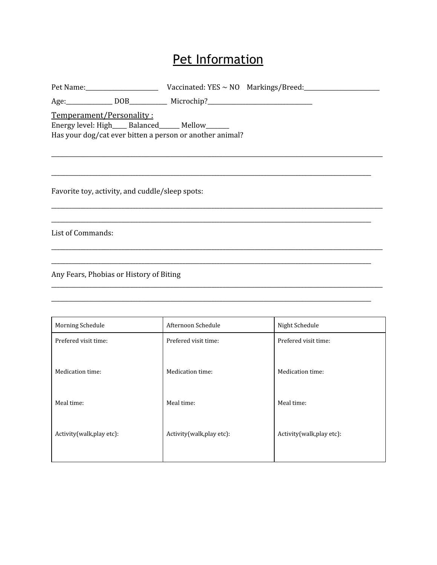## Pet Information

| Age: _______________ DOB_____________ Microchip?________________________________                                                           |                      |                      |  |  |  |  |
|--------------------------------------------------------------------------------------------------------------------------------------------|----------------------|----------------------|--|--|--|--|
| Temperament/Personality:<br>Energy level: High____ Balanced______ Mellow______<br>Has your dog/cat ever bitten a person or another animal? |                      |                      |  |  |  |  |
| Favorite toy, activity, and cuddle/sleep spots:                                                                                            |                      |                      |  |  |  |  |
| List of Commands:                                                                                                                          |                      |                      |  |  |  |  |
| Any Fears, Phobias or History of Biting                                                                                                    |                      |                      |  |  |  |  |
| Morning Schedule                                                                                                                           | Afternoon Schedule   | Night Schedule       |  |  |  |  |
| Prefered visit time:                                                                                                                       | Prefered visit time: | Prefered visit time: |  |  |  |  |

| Medication time:         | Medication time:         | Medication time:         |
|--------------------------|--------------------------|--------------------------|
| Meal time:               | Meal time:               | Meal time:               |
| Activity(walk,play etc): | Activity(walk,play etc): | Activity(walk,play etc): |
|                          |                          |                          |